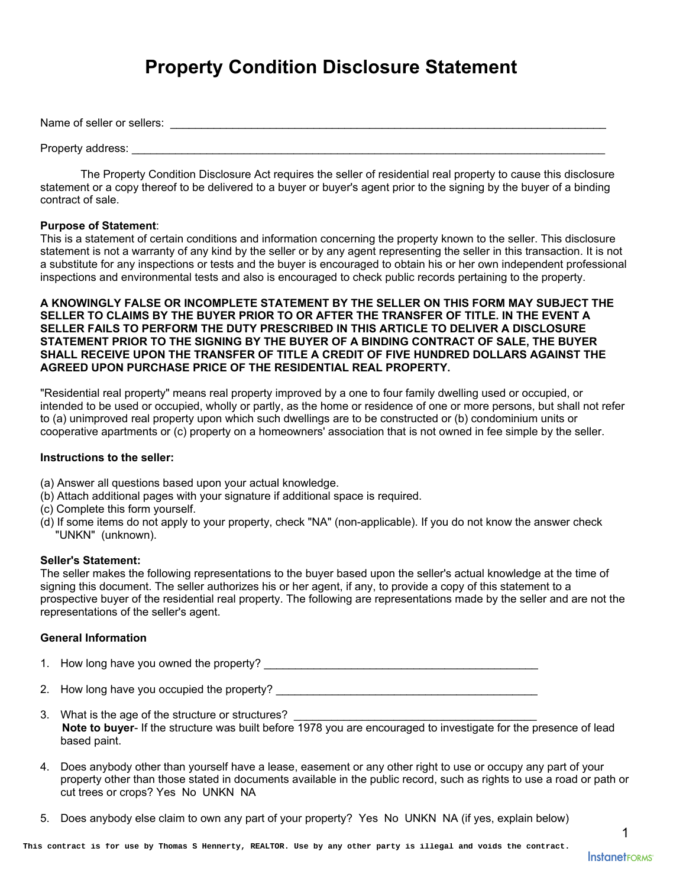# **Property Condition Disclosure Statement**

Name of seller or sellers: \_\_\_\_\_\_\_\_\_\_\_\_\_\_\_\_\_\_\_\_\_\_\_\_\_\_\_\_\_\_\_\_\_\_\_\_\_\_\_\_\_\_\_\_\_\_\_\_\_\_\_\_\_\_\_\_\_\_\_\_\_\_\_\_\_\_\_\_\_\_

# Property address: **Example 20**

The Property Condition Disclosure Act requires the seller of residential real property to cause this disclosure statement or a copy thereof to be delivered to a buyer or buyer's agent prior to the signing by the buyer of a binding contract of sale.

# **Purpose of Statement**:

This is a statement of certain conditions and information concerning the property known to the seller. This disclosure statement is not a warranty of any kind by the seller or by any agent representing the seller in this transaction. It is not a substitute for any inspections or tests and the buyer is encouraged to obtain his or her own independent professional inspections and environmental tests and also is encouraged to check public records pertaining to the property.

# **A KNOWINGLY FALSE OR INCOMPLETE STATEMENT BY THE SELLER ON THIS FORM MAY SUBJECT THE SELLER TO CLAIMS BY THE BUYER PRIOR TO OR AFTER THE TRANSFER OF TITLE. IN THE EVENT A SELLER FAILS TO PERFORM THE DUTY PRESCRIBED IN THIS ARTICLE TO DELIVER A DISCLOSURE STATEMENT PRIOR TO THE SIGNING BY THE BUYER OF A BINDING CONTRACT OF SALE, THE BUYER SHALL RECEIVE UPON THE TRANSFER OF TITLE A CREDIT OF FIVE HUNDRED DOLLARS AGAINST THE AGREED UPON PURCHASE PRICE OF THE RESIDENTIAL REAL PROPERTY.**

"Residential real property" means real property improved by a one to four family dwelling used or occupied, or intended to be used or occupied, wholly or partly, as the home or residence of one or more persons, but shall not refer to (a) unimproved real property upon which such dwellings are to be constructed or (b) condominium units or cooperative apartments or (c) property on a homeowners' association that is not owned in fee simple by the seller.

# **Instructions to the seller:**

- (a) Answer all questions based upon your actual knowledge.
- (b) Attach additional pages with your signature if additional space is required.
- (c) Complete this form yourself.
- (d) If some items do not apply to your property, check "NA" (non-applicable). If you do not know the answer check "UNKN" (unknown).

# **Seller's Statement:**

The seller makes the following representations to the buyer based upon the seller's actual knowledge at the time of signing this document. The seller authorizes his or her agent, if any, to provide a copy of this statement to a prospective buyer of the residential real property. The following are representations made by the seller and are not the representations of the seller's agent.

# **General Information**

1. How long have you owned the property? \_\_\_\_\_\_\_\_\_\_\_\_\_\_\_\_\_\_\_\_\_\_\_\_\_\_\_\_\_\_\_\_\_\_\_\_\_\_\_\_\_\_\_\_

2. How long have you occupied the property? \_\_\_\_\_\_\_\_\_\_\_\_\_\_\_\_\_\_\_\_\_\_\_\_\_\_\_\_\_\_\_\_\_\_\_\_\_\_\_\_\_\_

- 3. What is the age of the structure or structures? **Note to buyer**- If the structure was built before 1978 you are encouraged to investigate for the presence of lead based paint.
- 4. Does anybody other than yourself have a lease, easement or any other right to use or occupy any part of your property other than those stated in documents available in the public record, such as rights to use a road or path or cut trees or crops? Yes No UNKN NA
- 5. Does anybody else claim to own any part of your property? Yes No UNKN NA (if yes, explain below)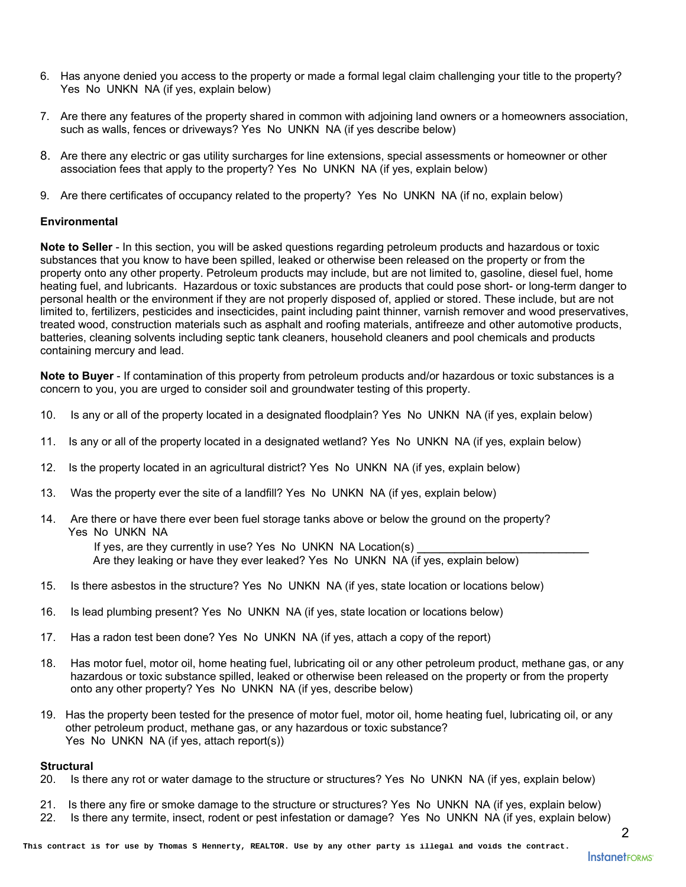- 6. Has anyone denied you access to the property or made a formal legal claim challenging your title to the property? Yes No UNKN NA (if yes, explain below)
- 7. Are there any features of the property shared in common with adjoining land owners or a homeowners association, such as walls, fences or driveways? Yes No UNKN NA (if yes describe below)
- 8. Are there any electric or gas utility surcharges for line extensions, special assessments or homeowner or other association fees that apply to the property? Yes No UNKN NA (if yes, explain below)
- 9. Are there certificates of occupancy related to the property? Yes No UNKN NA (if no, explain below)

# **Environmental**

**Note to Seller** - In this section, you will be asked questions regarding petroleum products and hazardous or toxic substances that you know to have been spilled, leaked or otherwise been released on the property or from the property onto any other property. Petroleum products may include, but are not limited to, gasoline, diesel fuel, home heating fuel, and lubricants. Hazardous or toxic substances are products that could pose short- or long-term danger to personal health or the environment if they are not properly disposed of, applied or stored. These include, but are not limited to, fertilizers, pesticides and insecticides, paint including paint thinner, varnish remover and wood preservatives, treated wood, construction materials such as asphalt and roofing materials, antifreeze and other automotive products, batteries, cleaning solvents including septic tank cleaners, household cleaners and pool chemicals and products containing mercury and lead.

**Note to Buyer** - If contamination of this property from petroleum products and/or hazardous or toxic substances is a concern to you, you are urged to consider soil and groundwater testing of this property.

- 10. Is any or all of the property located in a designated floodplain? Yes No UNKN NA (if yes, explain below)
- 11. Is any or all of the property located in a designated wetland? Yes No UNKN NA (if yes, explain below)
- 12. Is the property located in an agricultural district? Yes No UNKN NA (if yes, explain below)
- 13. Was the property ever the site of a landfill? Yes No UNKN NA (if yes, explain below)
- 14. Are there or have there ever been fuel storage tanks above or below the ground on the property? Yes No UNKN NA

If yes, are they currently in use? Yes No UNKN NA Location(s) \_\_\_\_\_\_\_\_\_\_\_\_\_\_\_\_\_\_\_\_\_\_\_ Are they leaking or have they ever leaked? Yes No UNKN NA (if yes, explain below)

- 15. Is there asbestos in the structure? Yes No UNKN NA (if yes, state location or locations below)
- 16. Is lead plumbing present? Yes No UNKN NA (if yes, state location or locations below)
- 17. Has a radon test been done? Yes No UNKN NA (if yes, attach a copy of the report)
- 18. Has motor fuel, motor oil, home heating fuel, lubricating oil or any other petroleum product, methane gas, or any hazardous or toxic substance spilled, leaked or otherwise been released on the property or from the property onto any other property? Yes No UNKN NA (if yes, describe below)
- 19. Has the property been tested for the presence of motor fuel, motor oil, home heating fuel, lubricating oil, or any other petroleum product, methane gas, or any hazardous or toxic substance? Yes No UNKN NA (if yes, attach report(s))

# **Structural**

- 20. Is there any rot or water damage to the structure or structures? Yes No UNKN NA (if yes, explain below)
- 21. Is there any fire or smoke damage to the structure or structures? Yes No UNKN NA (if yes, explain below)
- 22. Is there any termite, insect, rodent or pest infestation or damage? Yes No UNKN NA (if yes, explain below)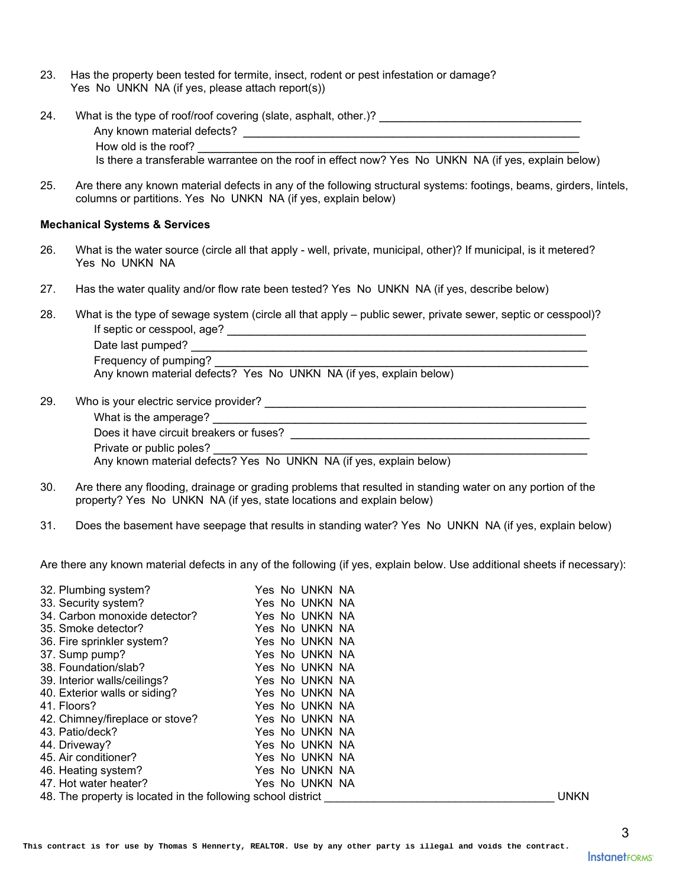- 23. Has the property been tested for termite, insect, rodent or pest infestation or damage? Yes No UNKN NA (if yes, please attach report(s))
- 24. What is the type of roof/roof covering (slate, asphalt, other.)? \_\_\_\_\_\_\_\_\_\_\_\_\_\_\_\_\_\_\_\_\_\_\_\_\_\_\_ Any known material defects? **Example 20** and the set of the set of the set of the set of the set of the set of the set of the set of the set of the set of the set of the set of the set of the set of the set of the set of t How old is the roof? Is there a transferable warrantee on the roof in effect now? Yes No UNKN NA (if yes, explain below)
- 25. Are there any known material defects in any of the following structural systems: footings, beams, girders, lintels, columns or partitions. Yes No UNKN NA (if yes, explain below)

### **Mechanical Systems & Services**

- 26. What is the water source (circle all that apply well, private, municipal, other)? If municipal, is it metered? Yes No UNKN NA
- 27. Has the water quality and/or flow rate been tested? Yes No UNKN NA (if yes, describe below)
- 28. What is the type of sewage system (circle all that apply public sewer, private sewer, septic or cesspool)? If septic or cesspool, age? \_\_\_\_\_\_\_\_\_\_\_\_\_\_\_\_\_\_\_\_\_\_\_\_\_\_\_\_\_\_\_\_\_\_\_\_\_\_\_\_\_\_\_\_\_\_\_\_ Date last pumped?  $\Box$ Frequency of pumping? Any known material defects? Yes No UNKN NA (if yes, explain below)
- 29. Who is your electric service provider? \_\_\_\_\_\_\_\_\_\_\_\_\_\_\_\_\_\_\_\_\_\_\_\_\_\_\_\_\_\_\_\_\_\_\_\_\_\_\_\_\_\_\_

What is the amperage? \_\_\_\_\_\_\_\_\_\_\_\_\_\_\_\_\_\_\_\_\_\_\_\_\_\_\_\_\_\_\_\_\_\_\_\_\_\_\_\_\_\_\_\_\_\_\_\_\_\_

Does it have circuit breakers or fuses?

Private or public poles?

Any known material defects? Yes No UNKN NA (if yes, explain below)

- 30. Are there any flooding, drainage or grading problems that resulted in standing water on any portion of the property? Yes No UNKN NA (if yes, state locations and explain below)
- 31. Does the basement have seepage that results in standing water? Yes No UNKN NA (if yes, explain below)

Are there any known material defects in any of the following (if yes, explain below. Use additional sheets if necessary):

| 32. Plumbing system?                                         | Yes No UNKN NA |             |
|--------------------------------------------------------------|----------------|-------------|
| 33. Security system?                                         | Yes No UNKN NA |             |
| 34. Carbon monoxide detector?                                | Yes No UNKN NA |             |
| 35. Smoke detector?                                          | Yes No UNKN NA |             |
| 36. Fire sprinkler system?                                   | Yes No UNKN NA |             |
| 37. Sump pump?                                               | Yes No UNKN NA |             |
| 38. Foundation/slab?                                         | Yes No UNKN NA |             |
| 39. Interior walls/ceilings?                                 | Yes No UNKN NA |             |
| 40. Exterior walls or siding?                                | Yes No UNKN NA |             |
| 41. Floors?                                                  | Yes No UNKN NA |             |
| 42. Chimney/fireplace or stove?                              | Yes No UNKN NA |             |
| 43. Patio/deck?                                              | Yes No UNKN NA |             |
| 44. Driveway?                                                | Yes No UNKN NA |             |
| 45. Air conditioner?                                         | Yes No UNKN NA |             |
| 46. Heating system?                                          | Yes No UNKN NA |             |
| 47. Hot water heater?                                        | Yes No UNKN NA |             |
| 48. The property is located in the following school district |                | <b>UNKN</b> |